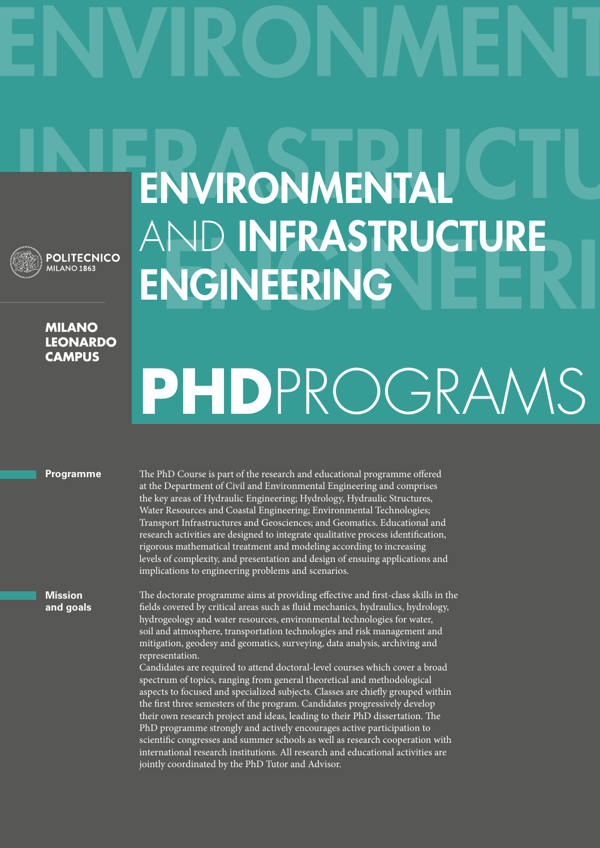

## **Milano leonardo campus**

## Environmental AND **INFRASTRUCTURE ENGINEERING**

# **PhD**ProgramS

## **Programme**

The PhD Course is part of the research and educational programme offered at the Department of Civil and Environmental Engineering and comprises the key areas of Hydraulic Engineering; Hydrology, Hydraulic Structures, Water Resources and Coastal Engineering; Environmental Technologies; Transport Infrastructures and Geosciences; and Geomatics. Educational and research activities are designed to integrate qualitative process identification, rigorous mathematical treatment and modeling according to increasing levels of complexity, and presentation and design of ensuing applications and implications to engineering problems and scenarios.

**Mission and goals** The doctorate programme aims at providing effective and first-class skills in the fields covered by critical areas such as fluid mechanics, hydraulics, hydrology, hydrogeology and water resources, environmental technologies for water, soil and atmosphere, transportation technologies and risk management and mitigation, geodesy and geomatics, surveying, data analysis, archiving and representation.

Candidates are required to attend doctoral-level courses which cover a broad spectrum of topics, ranging from general theoretical and methodological aspects to focused and specialized subjects. Classes are chiefly grouped within the first three semesters of the program. Candidates progressively develop their own research project and ideas, leading to their PhD dissertation. The PhD programme strongly and actively encourages active participation to scientific congresses and summer schools as well as research cooperation with international research institutions. All research and educational activities are jointly coordinated by the PhD Tutor and Advisor.